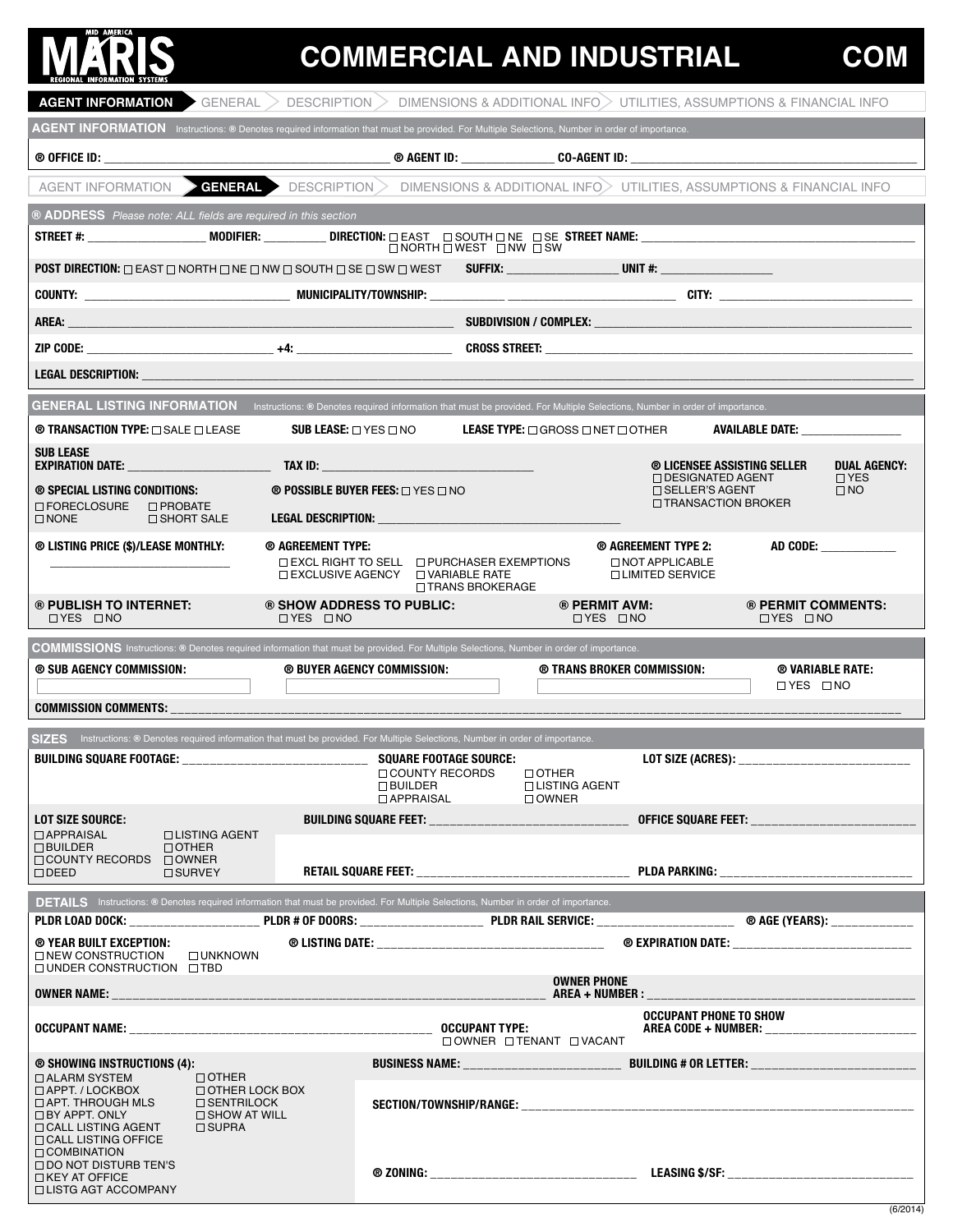# **NE AMERICA**

## **COMMERCIAL AND INDUSTRIAL**

| $AGENT$ INFORMATION GENERAL $>$ DESCRIPTION $>$ DIMENSIONS & ADDITIONAL INFO $>$ UTILITIES, ASSUMPTIONS & FINANCIAL INFO                                                                                                                                                                                              |                                                          |                                                                                             |                                                                                   |                                                    |
|-----------------------------------------------------------------------------------------------------------------------------------------------------------------------------------------------------------------------------------------------------------------------------------------------------------------------|----------------------------------------------------------|---------------------------------------------------------------------------------------------|-----------------------------------------------------------------------------------|----------------------------------------------------|
| AGENT INFORMATION Instructions: ® Denotes required information that must be provided. For Multiple Selections, Number in order of importance.                                                                                                                                                                         |                                                          |                                                                                             |                                                                                   |                                                    |
|                                                                                                                                                                                                                                                                                                                       |                                                          |                                                                                             |                                                                                   |                                                    |
| AGENT INFORMATION $\triangleright$ GENERAL $\triangleright$ DESCRIPTION $\triangleright$ DIMENSIONS & ADDITIONAL INFO $\triangleright$ UTILITIES, ASSUMPTIONS & FINANCIAL INFO                                                                                                                                        |                                                          |                                                                                             |                                                                                   |                                                    |
| ® ADDRESS Please note: ALL fields are required in this section                                                                                                                                                                                                                                                        |                                                          |                                                                                             |                                                                                   |                                                    |
|                                                                                                                                                                                                                                                                                                                       |                                                          | $\Box$ NORTH $\Box$ WEST $\Box$ NW $\Box$ SW                                                |                                                                                   |                                                    |
| POST DIRECTION: □ EAST □ NORTH □ NE □ NW □ SOUTH □ SE □ SW □ WEST SUFFIX: UNIT #: UNIT #: UNIT #: UNIT #: UNIT                                                                                                                                                                                                        |                                                          |                                                                                             |                                                                                   |                                                    |
|                                                                                                                                                                                                                                                                                                                       |                                                          |                                                                                             |                                                                                   |                                                    |
| AREA:                                                                                                                                                                                                                                                                                                                 |                                                          |                                                                                             |                                                                                   |                                                    |
|                                                                                                                                                                                                                                                                                                                       |                                                          |                                                                                             |                                                                                   |                                                    |
| Legal description:                                                                                                                                                                                                                                                                                                    |                                                          |                                                                                             |                                                                                   |                                                    |
| GENERAL LISTING INFORMATION Instructions: ® Denotes required information that must be provided. For Multiple Selections, Number in order of importance.                                                                                                                                                               |                                                          |                                                                                             |                                                                                   |                                                    |
| <b>® TRANSACTION TYPE:</b> □ SALE □ LEASE                                                                                                                                                                                                                                                                             | SUB LEASE: $\square$ yes $\square$ no                    |                                                                                             | <b>LEASE TYPE:</b> $\square$ GROSS $\square$ NET $\square$ OTHER                  | <b>AVAILABLE DATE:</b>                             |
| <b>SUB LEASE</b><br><b>EXPIRATION DATE: THE SECOND STATE OF A SECOND STATE OF A SECOND STATE OF A SECOND STATE OF A SECOND STATE OF A SECOND STATE OF A SECOND STATE OF A SECOND STATE OF A SECOND STATE OF A SECOND STATE OF A SECOND STATE OF A SE</b>                                                              |                                                          |                                                                                             |                                                                                   | ® LICENSEE ASSISTING SELLER<br><b>DUAL AGENCY:</b> |
| <b>® SPECIAL LISTING CONDITIONS:</b><br>□ FORECLOSURE<br>$\Box$ PROBATE                                                                                                                                                                                                                                               | <b>® POSSIBLE BUYER FEES:</b> $\square$ yes $\square$ no |                                                                                             | $\Box$ DESIGNATED AGENT<br>$\square$ SELLER'S AGENT                               | $\Box$ YES<br>$\square$ NO<br>□ TRANSACTION BROKER |
| $\Box$ NONE<br>$\Box$ SHORT SALE                                                                                                                                                                                                                                                                                      |                                                          |                                                                                             |                                                                                   |                                                    |
| <b>® LISTING PRICE (\$)/LEASE MONTHLY:</b>                                                                                                                                                                                                                                                                            | ® AGREEMENT TYPE:                                        | $\Box$ EXCL RIGHT TO SELL $\Box$ PURCHASER EXEMPTIONS<br>□ EXCLUSIVE AGENCY □ VARIABLE RATE | ® AGREEMENT TYPE 2:<br>O NOT APPLICABLE<br>□ LIMITED SERVICE                      | AD CODE:                                           |
| ® PUBLISH TO INTERNET:<br>$\Box$ YES $\Box$ NO                                                                                                                                                                                                                                                                        | ® SHOW ADDRESS TO PUBLIC:<br>$\Box$ YES $\Box$ NO        | □ TRANS BROKERAGE                                                                           | ® PERMIT AVM:<br>$\Box$ YES $\Box$ NO                                             | ® PERMIT COMMENTS:<br>$\Box$ YES $\Box$ NO         |
|                                                                                                                                                                                                                                                                                                                       |                                                          |                                                                                             |                                                                                   |                                                    |
| COMMISSIONS Instructions: ® Denotes required information that must be provided. For Multiple Selections, Number in order of importance.                                                                                                                                                                               |                                                          |                                                                                             |                                                                                   |                                                    |
| ® SUB AGENCY COMMISSION:                                                                                                                                                                                                                                                                                              | ® BUYER AGENCY COMMISSION:                               |                                                                                             | ® TRANS BROKER COMMISSION:                                                        | ® VARIABLE RATE:<br>$\Box$ YES $\Box$ NO           |
| COMMISSION COMMENTS: _________________________________                                                                                                                                                                                                                                                                |                                                          |                                                                                             |                                                                                   |                                                    |
| SIZES Instructions: ® Denotes required information that must be provided. For Multiple Selections, Number in order of importance.                                                                                                                                                                                     |                                                          |                                                                                             |                                                                                   |                                                    |
|                                                                                                                                                                                                                                                                                                                       |                                                          | □ COUNTY RECORDS<br><b>D</b> BUILDER                                                        | $\Box$ OTHER<br>□ LISTING AGENT                                                   | LOT SIZE (ACRES): __________________________       |
| LOT SIZE SOURCE:                                                                                                                                                                                                                                                                                                      |                                                          | <b>DAPPRAISAL</b>                                                                           | $\Box$ OWNER                                                                      |                                                    |
| $\Box$ APPRAISAL<br>□ LISTING AGENT<br>$\Box$ BUILDER<br>$\Box$ OTHER                                                                                                                                                                                                                                                 |                                                          |                                                                                             |                                                                                   |                                                    |
| $\Box$ COUNTY RECORDS $\Box$ OWNER<br>$\Box$ DEED<br>□ SURVEY                                                                                                                                                                                                                                                         |                                                          |                                                                                             |                                                                                   |                                                    |
| <b>DETAILS</b> Instructions: ® Denotes required information that must be provided. For Multiple Selections, Number in order of importance.                                                                                                                                                                            |                                                          |                                                                                             |                                                                                   |                                                    |
|                                                                                                                                                                                                                                                                                                                       |                                                          |                                                                                             |                                                                                   |                                                    |
| ® YEAR BUILT EXCEPTION:<br>□ NEW CONSTRUCTION<br>$\square$ UNKNOWN                                                                                                                                                                                                                                                    |                                                          |                                                                                             |                                                                                   |                                                    |
| $\Box$ UNDER CONSTRUCTION $\Box$ TBD                                                                                                                                                                                                                                                                                  |                                                          |                                                                                             | <b>OWNER PHONE</b>                                                                |                                                    |
|                                                                                                                                                                                                                                                                                                                       |                                                          |                                                                                             | <b>OCCUPANT PHONE TO SHOW</b>                                                     | AREA CODE + NUMBER: _______________________        |
|                                                                                                                                                                                                                                                                                                                       |                                                          |                                                                                             | □ OWNER □ TENANT □ VACANT                                                         |                                                    |
| ® SHOWING INSTRUCTIONS (4):<br>$\Box$ OTHER<br>$\Box$ ALARM SYSTEM<br>$\Box$ APPT. / LOCKBOX<br>$\Box$ OTHER LOCK BOX<br>$\Box$ APT. THROUGH MLS<br>$\Box$ SENTRILOCK<br>$\Box$ BY APPT. ONLY<br>$\Box$ SHOW AT WILL<br>$\Box$ CALL LISTING AGENT<br>$\Box$ SUPRA<br>$\Box$ CALL LISTING OFFICE<br>$\Box$ COMBINATION |                                                          |                                                                                             | BUSINESS NAME: _________________________ BUILDING # OR LETTER: __________________ |                                                    |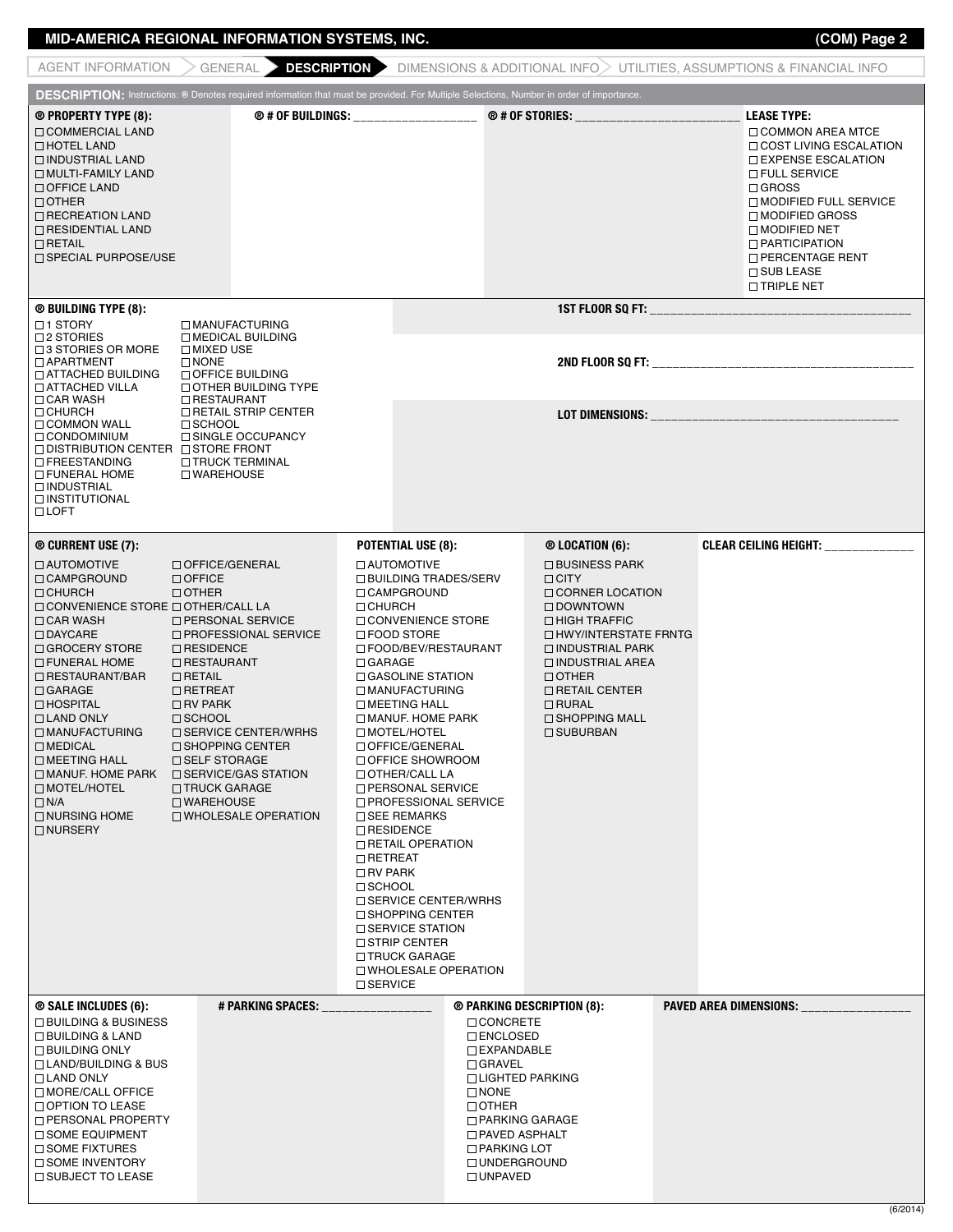#### **MID-AMERICA REGIONAL INFORMATION SYSTEMS, INC. (COM) Page 2**

 **DESCRIPTION:** Instructions: **®** Denotes required information that must be provided. For Multiple Selections, Number in order of importance. **® PROPERTY type (8): ® # OF BUILDINGS: \_\_\_\_\_\_\_\_\_\_\_\_\_\_\_\_\_\_ ® # OF STORIES: \_\_\_\_\_\_\_\_\_\_\_\_\_\_\_\_\_\_\_\_\_\_\_\_ LEASE TYPE: ® BUILDING TYPE (8): 1ST FLOOR SQ FT: \_\_\_\_\_\_\_\_\_\_\_\_\_\_\_\_\_\_\_\_\_\_\_\_\_\_\_\_\_\_\_\_\_\_\_\_\_\_ 2ND FLOOR SQ FT: \_\_\_\_\_\_\_\_\_\_\_\_\_\_\_\_\_\_\_\_\_\_\_\_\_\_\_\_\_\_\_\_\_\_\_\_\_\_** LOT DIMENSIONS: **® CURRENT USE (7): POTENTIAL USE (8): ® LOCATION (6): CLEAR CEILING HEIGHT: \_\_\_\_\_\_\_\_\_\_\_\_\_ ® SALE INCLUDES (6): # PARKING SPACES: \_\_\_\_\_\_\_\_\_\_\_\_\_\_\_\_ ® PARKING DESCRIPTION (8): PAVED AREA DIMENSIONS: \_\_\_\_\_\_\_\_\_\_\_\_\_\_\_\_** Commercial Land □ HOTEL LAND Industrial Land Multi-Family Land OFFICE LAND  $\Box$  OTHER □ RECREATION LAND Residential Land  $\Box$ RETAIL □ SPECIAL PURPOSE/USE **COMMON AREA MTCE COST LIVING ESCALATION EXPENSE ESCALATION THE SERVICE** □ GROSS MODIFIED FULL SERVICE □ MODIFIED GROSS MODIFIED NET PARTICIPATION **D** PERCENTAGE RENT  $\Box$  SUB LEASE □ TRIPLE NET AGENT INFORMATION  $\geq$  GENERAL **DESCRIPTION** DIMENSIONS & ADDITIONAL INFO UTILITIES, ASSUMPTIONS & FINANCIAL INFO □ 1 STORY □2 STORIES □ 3 STORIES OR MORE Apartment Attached Building Attached Villa **CAR WASH**  $\Box$ CHURCH **COMMON WALL**  Condominium Distribution Center Store Front Freestanding Funeral Home  $\Box$  INDUSTRIAL Institutional **LOFT**  $\square$  MANUFACTURING Medical Building □ MIXED USE □ NONE OFFICE BUILDING Other Building Type □ RESTAURANT □ RETAIL STRIP CENTER  $\Box$ SCHOOL **□ SINGLE OCCUPANCY**  $\Box$ TRUCK TERMINAL □ WAREHOUSE Automotive **CAMPGROUND CHURCH** CONVENIENCE STORE □ OTHER/CALL LA  $\Box$  CAR WASH DAYCARE □ GROCERY STORE Funeral Home Restaurant/bar  $\Box$  GARAGE  $\Box$  HOSPITAL □ LAND ONLY  $\square$  MANUFACTURING  $\Box$  MEDICAL **DIMEETING HALL** MANUF. HOME PARK □ SERVICE/GAS STATION Motel/Hotel  $\Box$  N/A □ NURSING HOME □ NURSERY Office/General □ OFFICE  $\Box$  OTHER **D PERSONAL SERVICE**  Professional Service **□ RESIDENCE RESTAURANT**  $\Box$ RETAIL □ RETREAT □RV PARK  $\square$  SCHOOL □ SERVICE CENTER/WRHS □ SHOPPING CENTER □ SELF STORAGE □ TRUCK GARAGE  $\Box$ WARFHOUSE Wholesale Operation Automotive □ BUILDING TRADES/SERV □ CAMPGROUND D CHURCH **CONVENIENCE STORE** Food Store Food/Bev/Restaurant □ GARAGE □ GASOLINE STATION Manufacturing  $\square$  MEETING HALL Manuf. Home Park Motel/Hotel Office/General Office Showroom □ OTHER/CALL LA **D** PERSONAL SERVICE Professional Service □ SEE REMARKS **□ RESIDENCE RETAIL OPERATION D** RETREAT □RV PARK □ SCHOOL □ SERVICE CENTER/WRHS  $\Box$  SHOPPING CENTER □ SERVICE STATION □ STRIP CENTER □ TRUCK GARAGE Wholesale Operation  $\square$  SERVICE Business Park □ CITY **CORNER LOCATION**  Downtown □ HIGH TRAFFIC Hwy/Interstate Frntg Industrial Park Industrial Area  $\Box$  OTHER □ RETAIL CENTER  $\Box$ RURAL □ SHOPPING MALL  $\square$  SUBURBAN □ BUILDING & BUSINESS Building & Land □ BUILDING ONLY Land/Building & Bus **LAND ONLY** □ MORE/CALL OFFICE **OPTION TO LEASE D PERSONAL PROPERTY** □ SOME EQUIPMENT □ SOME FIXTURES □ SOME INVENTORY □ SUBJECT TO LEASE □ CONCRETE **ENCLOSED** Expandable □ GRAVEL Lighted Parking  $\square$  NONE  $\Box$  OTHER Parking Garage Paved Asphalt □ PARKING LOT □ UNDERGROUND  $\Box$ UNPAVED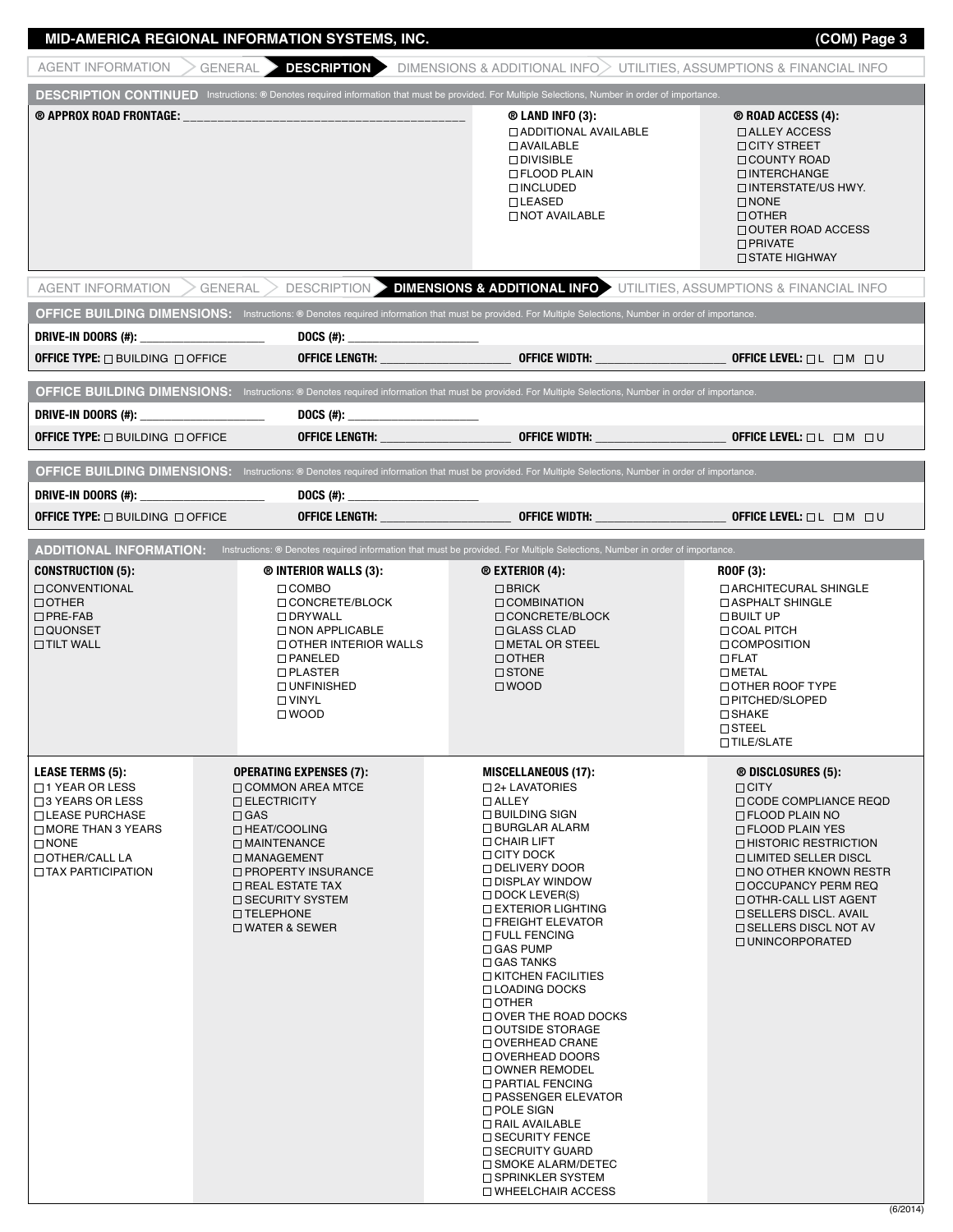### **MID-AMERICA REGIONAL INFORMATION SYSTEMS, INC. (COM) Page 3**